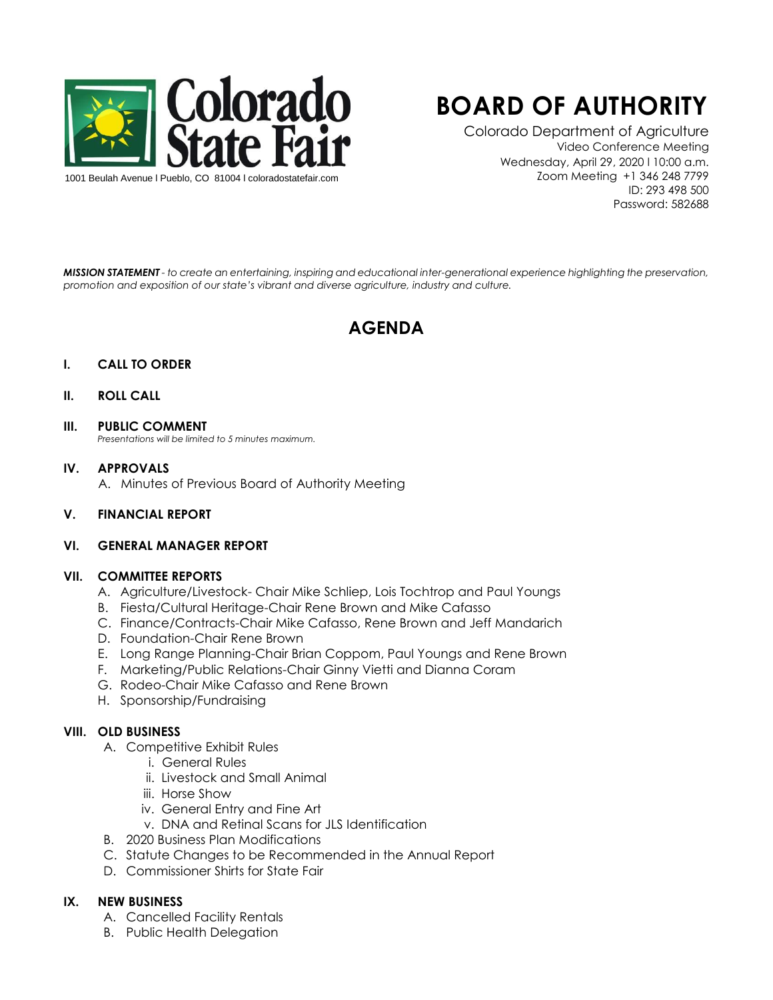

# **BOARD OF AUTHORITY**

Colorado Department of Agriculture Video Conference Meeting Wednesday, April 29, 2020 l 10:00 a.m. Zoom Meeting +1 346 248 7799 ID: 293 498 500 Password: 582688

*MISSION STATEMENT - to create an entertaining, inspiring and educational inter-generational experience highlighting the preservation, promotion and exposition of our state's vibrant and diverse agriculture, industry and culture.*

## **AGENDA**

#### **I. CALL TO ORDER**

#### **II. ROLL CALL**

**III. PUBLIC COMMENT** 

*Presentations will be limited to 5 minutes maximum.* 

### **IV. APPROVALS**

A. Minutes of Previous Board of Authority Meeting

**V. FINANCIAL REPORT**

#### **VI. GENERAL MANAGER REPORT**

#### **VII. COMMITTEE REPORTS**

- A. Agriculture/Livestock- Chair Mike Schliep, Lois Tochtrop and Paul Youngs
- B. Fiesta/Cultural Heritage-Chair Rene Brown and Mike Cafasso
- C. Finance/Contracts-Chair Mike Cafasso, Rene Brown and Jeff Mandarich
- D. Foundation-Chair Rene Brown
- E. Long Range Planning-Chair Brian Coppom, Paul Youngs and Rene Brown
- F. Marketing/Public Relations-Chair Ginny Vietti and Dianna Coram
- G. Rodeo-Chair Mike Cafasso and Rene Brown
- H. Sponsorship/Fundraising

#### **VIII. OLD BUSINESS**

- A. Competitive Exhibit Rules
	- i. General Rules
	- ii. Livestock and Small Animal
	- iii. Horse Show
	- iv. General Entry and Fine Art
	- v. DNA and Retinal Scans for JLS Identification
- B. 2020 Business Plan Modifications
- C. Statute Changes to be Recommended in the Annual Report
- D. Commissioner Shirts for State Fair

#### **IX. NEW BUSINESS**

- A. Cancelled Facility Rentals
- B. Public Health Delegation